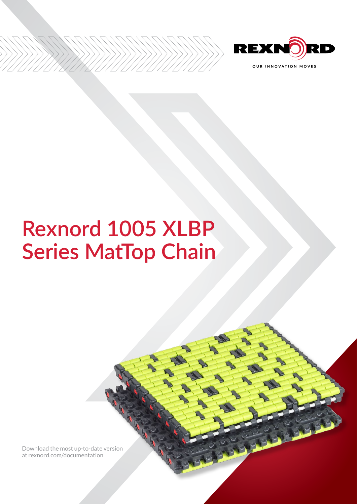

# **Rexnord 1005 XLBP Series MatTop Chain**

[Download the most up-to-date version](http://www.rexnord.com/documentation)  [at rexnord.com/documentation](http://www.rexnord.com/documentation)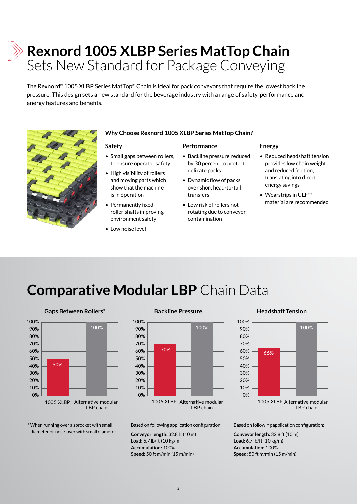## **Rexnord 1005 XLBP Series MatTop Chain**  Sets New Standard for Package Conveying

The Rexnord® 1005 XLBP Series MatTop® Chain is ideal for pack conveyors that require the lowest backline pressure. This design sets a new standard for the beverage industry with a range of safety, performance and energy features and benefits.



## **Why Choose Rexnord 1005 XLBP Series MatTop Chain?**

## **Safety**

- Small gaps between rollers, to ensure operator safety
- High visibility of rollers and moving parts which show that the machine is in operation
- Permanently fixed roller shafts improving environment safety
- Low noise level

## **Performance**

- Backline pressure reduced by 30 percent to protect delicate packs
- Dynamic flow of packs over short head-to-tail transfers
- Low risk of rollers not rotating due to conveyor contamination

## **Energy**

- Reduced headshaft tension provides low chain weight and reduced friction, translating into direct energy savings
- Wearstrips in ULF™ material are recommended

## **Comparative Modular LBP** Chain Data





**Backline pressure**

## LBP chain

Based on following application configuration:

**Conveyor length:** 32.8 ft (10 m) **Load:** 6.7 lb/ft (10 kg/m) **Accumulation:** 100% **Speed:** 50 ft m/min (15 m/min)

### **Gaps Between Rollers\* Backline Pressure Backline Pressure Headshaft Tension Headshaft Tension**



LBP chain

Based on following application configuration:

**Conveyor length:** 32.8 ft (10 m) **Load:** 6.7 lb/ft (10 kg/m) **Accumulation:** 100% **Speed:** 50 ft m/min (15 m/min)

## diameter or nose-over with small diameter.

\* When running over a sprocket with small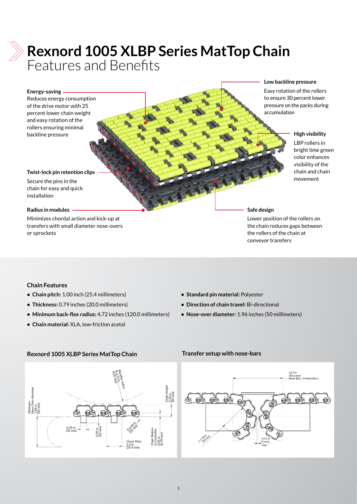

## **Rexnord 1005 XLBP Series MatTop Chain**  Features and Benefits

### **Energy-saving**

Reduces energy consumption of the drive motor with 25 percent lower chain weight and easy rotation of the rollers ensuring minimal **backline pressure High visibility** 

### **Low backline pressure**

Easy rotation of the rollers to ensure 30 percent lower pressure on the packs during accumulation

LBP rollers in bright lime green color enhances visibility of the chain and chain movement

### **Twist-lock pin retention clips**

Secure the pins in the chain for easy and quick installation

## **Radius in modules**

Minimizes chordal action and kick-up at transfers with small diameter nose-overs or sprockets

### **Safe design**

Lower position of the rollers on the chain reduces gaps between the rollers of the chain at conveyor transfers

## **Chain Features**

- **• Chain pitch:** 1.00 inch (25.4 millimeters)
- **• Thickness:** 0.79 inches (20.0 millimeters)
- **• Minimum back-flex radius:** 4.72 inches (120.0 millimeters)
- **• Chain material:** XLA, low-friction acetal
- **• Standard pin material:** Polyester
- **• Direction of chain travel:** Bi-directional
- **• Nose-over diameter:** 1.96 inches (50 millimeters)

## **Rexnord 1005 XLBP Series MatTop Chain Transfer setup with nose-bars**